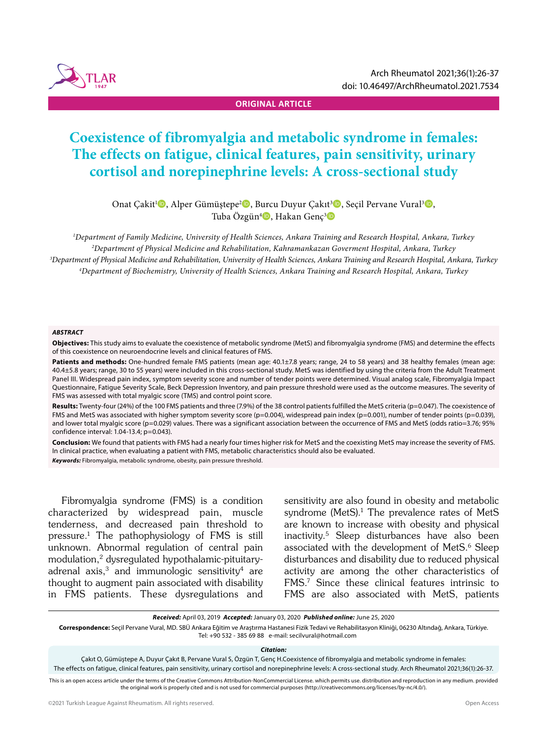

**ORIGINAL ARTICLE**

# **Coexistence of fibromyalgia and metabolic syndrome in females: The effects on fatigue, clinical features, pain sensitivity, urinary cortisol and norepinephrine levels: A cross-sectional study**

Onat Çakit<sup>ı</sup> D, Alper Gümüştepe<sup>2</sup> D, Burcu Duyur Çakıt<sup>3</sup> D, Seçil Pervane Vural<sup>3</sup> D, Tuba Özgün<sup>4</sup>D, Hakan Genç<sup>3</sup>D

 *Department of Family Medicine, University of Health Sciences, Ankara Training and Research Hospital, Ankara, Turkey Department of Physical Medicine and Rehabilitation, Kahramankazan Goverment Hospital, Ankara, Turkey Department of Physical Medicine and Rehabilitation, University of Health Sciences, Ankara Training and Research Hospital, Ankara, Turkey Department of Biochemistry, University of Health Sciences, Ankara Training and Research Hospital, Ankara, Turkey*

#### *ABSTRACT*

**Objectives:** This study aims to evaluate the coexistence of metabolic syndrome (MetS) and fibromyalgia syndrome (FMS) and determine the effects of this coexistence on neuroendocrine levels and clinical features of FMS.

Patients and methods: One-hundred female FMS patients (mean age: 40.1±7.8 years; range, 24 to 58 years) and 38 healthy females (mean age: 40.4±5.8 years; range, 30 to 55 years) were included in this cross-sectional study. MetS was identified by using the criteria from the Adult Treatment Panel III. Widespread pain index, symptom severity score and number of tender points were determined. Visual analog scale, Fibromyalgia Impact Questionnaire, Fatigue Severity Scale, Beck Depression Inventory, and pain pressure threshold were used as the outcome measures. The severity of FMS was assessed with total myalgic score (TMS) and control point score.

**Results:** Twenty-four (24%) of the 100 FMS patients and three (7.9%) of the 38 control patients fulfilled the MetS criteria (p=0.047). The coexistence of FMS and MetS was associated with higher symptom severity score (p=0.004), widespread pain index (p=0.001), number of tender points (p=0.039), and lower total myalgic score (p=0.029) values. There was a significant association between the occurrence of FMS and MetS (odds ratio=3.76; 95% confidence interval: 1.04-13.4; p=0.043).

**Conclusion:** We found that patients with FMS had a nearly four times higher risk for MetS and the coexisting MetS may increase the severity of FMS. In clinical practice, when evaluating a patient with FMS, metabolic characteristics should also be evaluated. *Keywords:* Fibromyalgia, metabolic syndrome, obesity, pain pressure threshold.

Fibromyalgia syndrome (FMS) is a condition characterized by widespread pain, muscle tenderness, and decreased pain threshold to pressure.1 The pathophysiology of FMS is still unknown. Abnormal regulation of central pain modulation,2 dysregulated hypothalamic-pituitaryadrenal axis, $3$  and immunologic sensitivity<sup>4</sup> are thought to augment pain associated with disability in FMS patients. These dysregulations and sensitivity are also found in obesity and metabolic syndrome (MetS).<sup>1</sup> The prevalence rates of MetS are known to increase with obesity and physical inactivity.5 Sleep disturbances have also been associated with the development of MetS.<sup>6</sup> Sleep disturbances and disability due to reduced physical activity are among the other characteristics of FMS.7 Since these clinical features intrinsic to FMS are also associated with MetS, patients

*Received:* April 03, 2019 *Accepted:* January 03, 2020 *Published online:* June 25, 2020

**Correspondence:** Seçil Pervane Vural, MD. SBÜ Ankara Eğitim ve Araştırma Hastanesi Fizik Tedavi ve Rehabilitasyon Kliniği, 06230 Altındağ, Ankara, Türkiye. Tel: +90 532 - 385 69 88 e-mail: secilvural@hotmail.com

#### *Citation:*

Çakıt O, Gümüştepe A, Duyur Çakıt B, Pervane Vural S, Özgün T, Genç H.Coexistence of fibromyalgia and metabolic syndrome in females:

The effects on fatigue, clinical features, pain sensitivity, urinary cortisol and norepinephrine levels: A cross-sectional study. Arch Rheumatol 2021;36(1):26-37.

This is an open access article under the terms of the Creative Commons Attribution-NonCommercial License. which permits use. distribution and reproduction in any medium. provided the original work is properly cited and is not used for commercial purposes (http://creativecommons.org/licenses/by-nc/4.0/).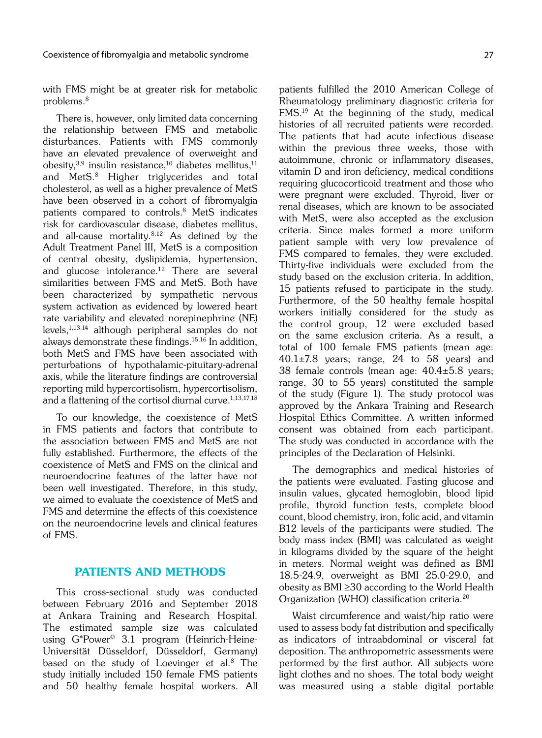with FMS might be at greater risk for metabolic problems.8

There is, however, only limited data concerning the relationship between FMS and metabolic disturbances. Patients with FMS commonly have an elevated prevalence of overweight and obesity, $3,9$  insulin resistance, $10$  diabetes mellitus, $11$ and MetS.8 Higher triglycerides and total cholesterol, as well as a higher prevalence of MetS have been observed in a cohort of fibromyalgia patients compared to controls.8 MetS indicates risk for cardiovascular disease, diabetes mellitus, and all-cause mortality.8,12 As defined by the Adult Treatment Panel III, MetS is a composition of central obesity, dyslipidemia, hypertension, and glucose intolerance.<sup>12</sup> There are several similarities between FMS and MetS. Both have been characterized by sympathetic nervous system activation as evidenced by lowered heart rate variability and elevated norepinephrine (NE) levels,1,13,14 although peripheral samples do not always demonstrate these findings.15,16 In addition, both MetS and FMS have been associated with perturbations of hypothalamic-pituitary-adrenal axis, while the literature findings are controversial reporting mild hypercortisolism, hypercortisolism, and a flattening of the cortisol diurnal curve.<sup>1,13,17,18</sup>

To our knowledge, the coexistence of MetS in FMS patients and factors that contribute to the association between FMS and MetS are not fully established. Furthermore, the effects of the coexistence of MetS and FMS on the clinical and neuroendocrine features of the latter have not been well investigated. Therefore, in this study, we aimed to evaluate the coexistence of MetS and FMS and determine the effects of this coexistence on the neuroendocrine levels and clinical features of FMS.

# PATIENTS AND METHODS

This cross-sectional study was conducted between February 2016 and September 2018 at Ankara Training and Research Hospital. The estimated sample size was calculated using G\*Power© 3.1 program (Heinrich-Heine-Universität Düsseldorf, Düsseldorf, Germany) based on the study of Loevinger et al.<sup>8</sup> The study initially included 150 female FMS patients and 50 healthy female hospital workers. All patients fulfilled the 2010 American College of Rheumatology preliminary diagnostic criteria for FMS.19 At the beginning of the study, medical histories of all recruited patients were recorded. The patients that had acute infectious disease within the previous three weeks, those with autoimmune, chronic or inflammatory diseases, vitamin D and iron deficiency, medical conditions requiring glucocorticoid treatment and those who were pregnant were excluded. Thyroid, liver or renal diseases, which are known to be associated with MetS, were also accepted as the exclusion criteria. Since males formed a more uniform patient sample with very low prevalence of FMS compared to females, they were excluded. Thirty-five individuals were excluded from the study based on the exclusion criteria. In addition, 15 patients refused to participate in the study. Furthermore, of the 50 healthy female hospital workers initially considered for the study as the control group, 12 were excluded based on the same exclusion criteria. As a result, a total of 100 female FMS patients (mean age:  $40.1\pm7.8$  years; range, 24 to 58 years) and 38 female controls (mean age: 40.4±5.8 years; range, 30 to 55 years) constituted the sample of the study (Figure 1). The study protocol was approved by the Ankara Training and Research Hospital Ethics Committee. A written informed consent was obtained from each participant. The study was conducted in accordance with the principles of the Declaration of Helsinki.

The demographics and medical histories of the patients were evaluated. Fasting glucose and insulin values, glycated hemoglobin, blood lipid profile, thyroid function tests, complete blood count, blood chemistry, iron, folic acid, and vitamin B12 levels of the participants were studied. The body mass index (BMI) was calculated as weight in kilograms divided by the square of the height in meters. Normal weight was defined as BMI 18.5-24.9, overweight as BMI 25.0-29.0, and obesity as BMI ≥30 according to the World Health Organization (WHO) classification criteria.<sup>20</sup>

Waist circumference and waist/hip ratio were used to assess body fat distribution and specifically as indicators of intraabdominal or visceral fat deposition. The anthropometric assessments were performed by the first author. All subjects wore light clothes and no shoes. The total body weight was measured using a stable digital portable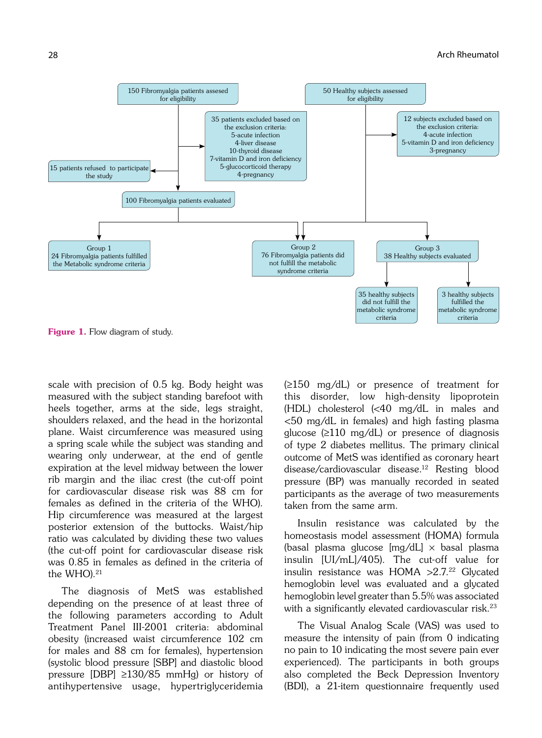

Figure 1. Flow diagram of study.

scale with precision of 0.5 kg. Body height was measured with the subject standing barefoot with heels together, arms at the side, legs straight, shoulders relaxed, and the head in the horizontal plane. Waist circumference was measured using a spring scale while the subject was standing and wearing only underwear, at the end of gentle expiration at the level midway between the lower rib margin and the iliac crest (the cut-off point for cardiovascular disease risk was 88 cm for females as defined in the criteria of the WHO). Hip circumference was measured at the largest posterior extension of the buttocks. Waist/hip ratio was calculated by dividing these two values (the cut-off point for cardiovascular disease risk was 0.85 in females as defined in the criteria of the WHO).<sup>21</sup>

The diagnosis of MetS was established depending on the presence of at least three of the following parameters according to Adult Treatment Panel III-2001 criteria: abdominal obesity (increased waist circumference 102 cm for males and 88 cm for females), hypertension (systolic blood pressure [SBP] and diastolic blood pressure [DBP] ≥130/85 mmHg) or history of antihypertensive usage, hypertriglyceridemia (≥150 mg/dL) or presence of treatment for this disorder, low high-density lipoprotein (HDL) cholesterol (<40 mg/dL in males and <50 mg/dL in females) and high fasting plasma glucose (≥110 mg/dL) or presence of diagnosis of type 2 diabetes mellitus. The primary clinical outcome of MetS was identified as coronary heart disease/cardiovascular disease.12 Resting blood pressure (BP) was manually recorded in seated participants as the average of two measurements taken from the same arm.

Insulin resistance was calculated by the homeostasis model assessment (HOMA) formula (basal plasma glucose  $[mg/dL] \times$  basal plasma insulin [UI/mL]/405). The cut-off value for insulin resistance was  $HOMA > 2.7<sup>22</sup>$  Glycated hemoglobin level was evaluated and a glycated hemoglobin level greater than 5.5% was associated with a significantly elevated cardiovascular risk.<sup>23</sup>

The Visual Analog Scale (VAS) was used to measure the intensity of pain (from 0 indicating no pain to 10 indicating the most severe pain ever experienced). The participants in both groups also completed the Beck Depression Inventory (BDI), a 21-item questionnaire frequently used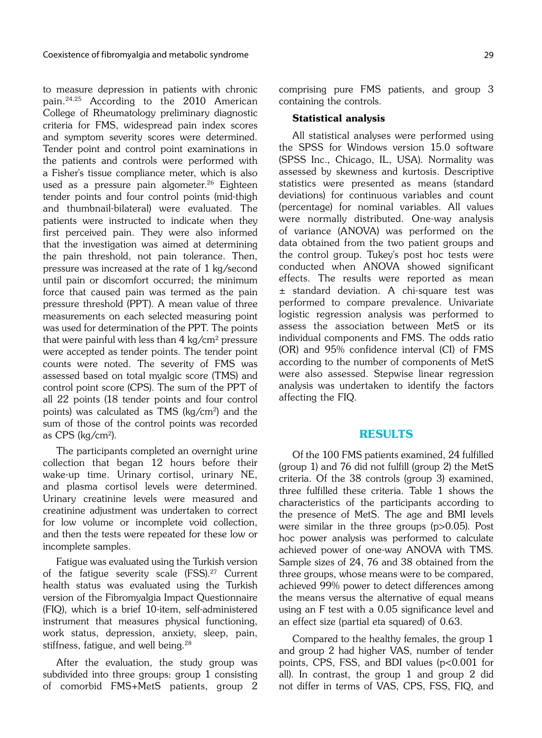to measure depression in patients with chronic pain.24,25 According to the 2010 American College of Rheumatology preliminary diagnostic criteria for FMS, widespread pain index scores and symptom severity scores were determined. Tender point and control point examinations in the patients and controls were performed with a Fisher's tissue compliance meter, which is also used as a pressure pain algometer.<sup>26</sup> Eighteen tender points and four control points (mid-thigh and thumbnail-bilateral) were evaluated. The patients were instructed to indicate when they first perceived pain. They were also informed that the investigation was aimed at determining the pain threshold, not pain tolerance. Then, pressure was increased at the rate of 1 kg/second until pain or discomfort occurred; the minimum force that caused pain was termed as the pain pressure threshold (PPT). A mean value of three measurements on each selected measuring point was used for determination of the PPT. The points that were painful with less than  $4 \text{ kg/cm}^2$  pressure were accepted as tender points. The tender point counts were noted. The severity of FMS was assessed based on total myalgic score (TMS) and control point score (CPS). The sum of the PPT of all 22 points (18 tender points and four control points) was calculated as TMS ( $kg/cm<sup>2</sup>$ ) and the sum of those of the control points was recorded as CPS (kg/cm2).

The participants completed an overnight urine collection that began 12 hours before their wake-up time. Urinary cortisol, urinary NE, and plasma cortisol levels were determined. Urinary creatinine levels were measured and creatinine adjustment was undertaken to correct for low volume or incomplete void collection, and then the tests were repeated for these low or incomplete samples.

Fatigue was evaluated using the Turkish version of the fatigue severity scale (FSS).<sup>27</sup> Current health status was evaluated using the Turkish version of the Fibromyalgia Impact Questionnaire (FIQ), which is a brief 10-item, self-administered instrument that measures physical functioning, work status, depression, anxiety, sleep, pain, stiffness, fatigue, and well being.<sup>28</sup>

After the evaluation, the study group was subdivided into three groups: group 1 consisting of comorbid FMS+MetS patients, group 2 comprising pure FMS patients, and group 3 containing the controls.

### Statistical analysis

All statistical analyses were performed using the SPSS for Windows version 15.0 software (SPSS Inc., Chicago, IL, USA). Normality was assessed by skewness and kurtosis. Descriptive statistics were presented as means (standard deviations) for continuous variables and count (percentage) for nominal variables. All values were normally distributed. One-way analysis of variance (ANOVA) was performed on the data obtained from the two patient groups and the control group. Tukey's post hoc tests were conducted when ANOVA showed significant effects. The results were reported as mean ± standard deviation. A chi-square test was performed to compare prevalence. Univariate logistic regression analysis was performed to assess the association between MetS or its individual components and FMS. The odds ratio (OR) and 95% confidence interval (CI) of FMS according to the number of components of MetS were also assessed. Stepwise linear regression analysis was undertaken to identify the factors affecting the FIQ.

# RESULTS

Of the 100 FMS patients examined, 24 fulfilled (group 1) and 76 did not fulfill (group 2) the MetS criteria. Of the 38 controls (group 3) examined, three fulfilled these criteria. Table 1 shows the characteristics of the participants according to the presence of MetS. The age and BMI levels were similar in the three groups (p>0.05). Post hoc power analysis was performed to calculate achieved power of one-way ANOVA with TMS. Sample sizes of 24, 76 and 38 obtained from the three groups, whose means were to be compared, achieved 99% power to detect differences among the means versus the alternative of equal means using an F test with a 0.05 significance level and an effect size (partial eta squared) of 0.63.

Compared to the healthy females, the group 1 and group 2 had higher VAS, number of tender points, CPS, FSS, and BDI values (p<0.001 for all). In contrast, the group 1 and group 2 did not differ in terms of VAS, CPS, FSS, FIQ, and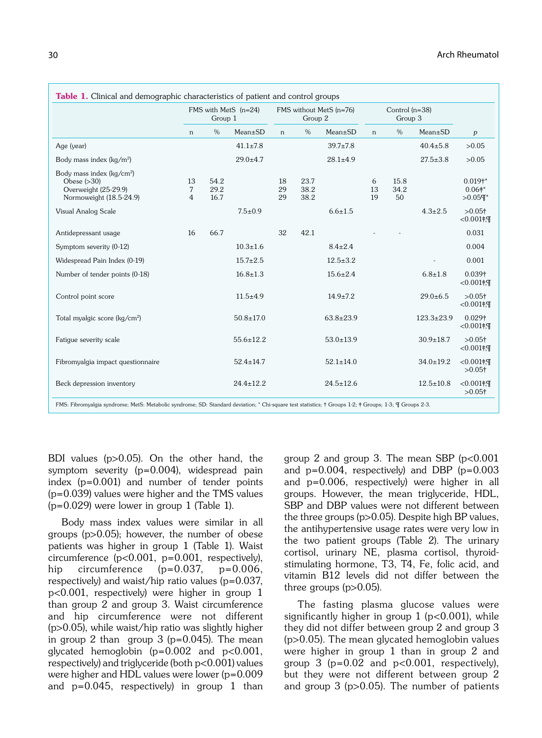|                                                                                                           |              | FMS with MetS (n=24)<br>Group 1 |                 |                | FMS without MetS (n=76)<br>Group 2 |                 |               | Control $(n=38)$<br>Group 3 |                  |                                         |
|-----------------------------------------------------------------------------------------------------------|--------------|---------------------------------|-----------------|----------------|------------------------------------|-----------------|---------------|-----------------------------|------------------|-----------------------------------------|
|                                                                                                           | n            | $\%$                            | $Mean \pm SD$   | n              | $\%$                               | $Mean \pm SD$   | n             | $\frac{0}{0}$               | $Mean \pm SD$    | p                                       |
| Age (year)                                                                                                |              |                                 | $41.1 \pm 7.8$  |                |                                    | $39.7 \pm 7.8$  |               |                             | $40.4 \pm 5.8$   | >0.05                                   |
| Body mass index ( $kq/m^2$ )                                                                              |              |                                 | $29.0 + 4.7$    |                |                                    | $28.1 \pm 4.9$  |               |                             | $27.5 \pm 3.8$   | >0.05                                   |
| Body mass index (kg/cm <sup>2</sup> )<br>Obese $(>30)$<br>Overweight (25-29.9)<br>Normoweight (18.5-24.9) | 13<br>7<br>4 | 54.2<br>29.2<br>16.7            |                 | 18<br>29<br>29 | 23.7<br>38.2<br>38.2               |                 | 6<br>13<br>19 | 15.8<br>34.2<br>50          |                  | $0.019^{+*}$<br>$0.06$ #*<br>$>0.05$ T* |
| Visual Analog Scale                                                                                       |              |                                 | $7.5 \pm 0.9$   |                |                                    | $6.6 \pm 1.5$   |               |                             | $4.3 \pm 2.5$    | $>0.05$ <sup>+</sup><br>$-0.001$ #, T   |
| Antidepressant usage                                                                                      | 16           | 66.7                            |                 | 32             | 42.1                               |                 |               |                             |                  | 0.031                                   |
| Symptom severity (0-12)                                                                                   |              |                                 | $10.3 \pm 1.6$  |                |                                    | $8.4 \pm 2.4$   |               |                             |                  | 0.004                                   |
| Widespread Pain Index (0-19)                                                                              |              |                                 | $15.7 \pm 2.5$  |                |                                    | $12.5 \pm 3.2$  |               |                             |                  | 0.001                                   |
| Number of tender points (0-18)                                                                            |              |                                 | $16.8 \pm 1.3$  |                |                                    | $15.6 \pm 2.4$  |               |                             | $6.8 + 1.8$      | 0.039 <sup>†</sup><br>$<0.001$ #, T     |
| Control point score                                                                                       |              |                                 | $11.5 + 4.9$    |                |                                    | $14.9 \pm 7.2$  |               |                             | $29.0 \pm 6.5$   | $>0.05$ <sup>+</sup><br>$<0.001$ #, T   |
| Total myalgic score (kg/cm <sup>2</sup> )                                                                 |              |                                 | $50.8 \pm 17.0$ |                |                                    | $63.8 \pm 23.9$ |               |                             | $123.3 \pm 23.9$ | 0.029 <sup>†</sup><br>$<0.001$ #, T     |
| Fatique severity scale                                                                                    |              |                                 | $55.6 \pm 12.2$ |                |                                    | $53.0 \pm 13.9$ |               |                             | $30.9 \pm 18.7$  | $>0.05$ <sup>+</sup><br>$-0.001$ #, T   |
| Fibromyalgia impact questionnaire                                                                         |              |                                 | $52.4 \pm 14.7$ |                |                                    | $52.1 \pm 14.0$ |               |                             | $34.0 \pm 19.2$  | $<0.001$ #.<br>$>0.05$ <sup>+</sup>     |
| Beck depression inventory                                                                                 |              |                                 | $24.4 \pm 12.2$ |                |                                    | $24.5 \pm 12.6$ |               |                             | $12.5 \pm 10.8$  | $<0.001$ #.<br>$>0.05$ <sup>+</sup>     |

BDI values (p>0.05). On the other hand, the symptom severity (p=0.004), widespread pain index (p=0.001) and number of tender points (p=0.039) values were higher and the TMS values  $(p=0.029)$  were lower in group 1 (Table 1).

Body mass index values were similar in all groups (p>0.05); however, the number of obese patients was higher in group 1 (Table 1). Waist circumference  $(p<0.001, p=0.001, respectively)$ , hip circumference  $(p=0.037, p=0.006,$ respectively) and waist/hip ratio values (p=0.037, p<0.001, respectively) were higher in group 1 than group 2 and group 3. Waist circumference and hip circumference were not different (p>0.05), while waist/hip ratio was slightly higher in group 2 than group 3 ( $p=0.045$ ). The mean glycated hemoglobin  $(p=0.002$  and  $p<0.001$ , respectively) and triglyceride (both p<0.001) values were higher and HDL values were lower (p=0.009 and  $p=0.045$ , respectively) in group 1 than group 2 and group 3. The mean SBP  $(p<0.001)$ and  $p=0.004$ , respectively) and DBP ( $p=0.003$ ) and p=0.006, respectively) were higher in all groups. However, the mean triglyceride, HDL, SBP and DBP values were not different between the three groups (p>0.05). Despite high BP values, the antihypertensive usage rates were very low in the two patient groups (Table 2). The urinary cortisol, urinary NE, plasma cortisol, thyroidstimulating hormone, T3, T4, Fe, folic acid, and vitamin B12 levels did not differ between the three groups  $(p>0.05)$ .

The fasting plasma glucose values were significantly higher in group  $1$  ( $p<0.001$ ), while they did not differ between group 2 and group 3 (p>0.05). The mean glycated hemoglobin values were higher in group 1 than in group 2 and group 3 ( $p=0.02$  and  $p<0.001$ , respectively), but they were not different between group 2 and group 3 (p>0.05). The number of patients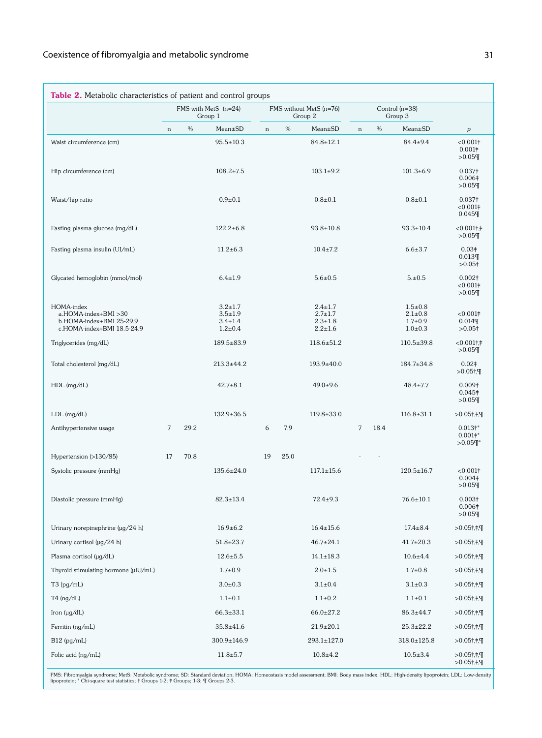| Table 2. Metabolic characteristics of patient and control groups                             |    |      |                                                                  |        |                                    |                                                                  |                |      |                                                                  |                                                            |
|----------------------------------------------------------------------------------------------|----|------|------------------------------------------------------------------|--------|------------------------------------|------------------------------------------------------------------|----------------|------|------------------------------------------------------------------|------------------------------------------------------------|
|                                                                                              |    |      | FMS with MetS (n=24)<br>Group 1                                  |        | FMS without MetS (n=76)<br>Group 2 |                                                                  |                |      | Control $(n=38)$<br>Group 3                                      |                                                            |
|                                                                                              | n  | $\%$ | Mean±SD                                                          | $\,$ n | $\%$                               | Mean±SD                                                          | $\mathbf n$    | $\%$ | Mean±SD                                                          | $\boldsymbol{p}$                                           |
| Waist circumference (cm)                                                                     |    |      | $95.5 \pm 10.3$                                                  |        |                                    | $84.8 \pm 12.1$                                                  |                |      | $84.4 \pm 9.4$                                                   | < 0.001<br>0.001 <sup>†</sup><br>>0.05                     |
| Hip circumference (cm)                                                                       |    |      | $108.2 \pm 7.5$                                                  |        |                                    | $103.1 \pm 9.2$                                                  |                |      | $101.3 \pm 6.9$                                                  | $0.037\dagger$<br>0.006 <sup>‡</sup><br>>0.05              |
| Waist/hip ratio                                                                              |    |      | $0.9 + 0.1$                                                      |        |                                    | $0.8 + 0.1$                                                      |                |      | $0.8 \pm 0.1$                                                    | 0.037 <sup>†</sup><br>< 0.001<br>$0.045$ ¶                 |
| Fasting plasma glucose (mg/dL)                                                               |    |      | $122.2 \pm 6.8$                                                  |        |                                    | $93.8 \pm 10.8$                                                  |                |      | $93.3 \pm 10.4$                                                  | $< 0.001$ †,†<br>>0.05                                     |
| Fasting plasma insulin (UI/mL)                                                               |    |      | $11.2 \pm 6.3$                                                   |        |                                    | $10.4 \pm 7.2$                                                   |                |      | $6.6 \pm 3.7$                                                    | 0.03 <sup>†</sup><br>0.013<br>$>0.05$ †                    |
| Glycated hemoglobin (mmol/mol)                                                               |    |      | $6.4 \pm 1.9$                                                    |        |                                    | $5.6 \pm 0.5$                                                    |                |      | 5.10.5                                                           | 0.002 <sup>†</sup><br>< 0.001<br>>0.05                     |
| HOMA-index<br>a.HOMA-index+BMI >30<br>b.HOMA-index+BMI 25-29.9<br>c.HOMA-index+BMI 18.5-24.9 |    |      | $3.2 \pm 1.7$<br>$3.5 \pm 1.9$<br>$3.4 \pm 1.4$<br>$1.2 \pm 0.4$ |        |                                    | $2.4 \pm 1.7$<br>$2.7 \pm 1.7$<br>$2.3 \pm 1.8$<br>$2.2 \pm 1.6$ |                |      | $1.5 \pm 0.8$<br>$2.1 \pm 0.8$<br>$1.7 \pm 0.9$<br>$1.0 \pm 0.3$ | < 0.001<br>$0.014$ T<br>$>0.05$ †                          |
| Triglycerides (mg/dL)                                                                        |    |      | 189.5±83.9                                                       |        |                                    | $118.6 \pm 51.2$                                                 |                |      | $110.5 \pm 39.8$                                                 | $< 0.001$ †,†<br>>0.05                                     |
| Total cholesterol (mg/dL)                                                                    |    |      | $213.3 \pm 44.2$                                                 |        |                                    | $193.9 \pm 40.0$                                                 |                |      | $184.7 \pm 34.8$                                                 | $0.02\dagger$<br>$>0.05$ †,¶                               |
| $HDL$ (mg/dL)                                                                                |    |      | $42.7 \pm 8.1$                                                   |        |                                    | $49.0 \pm 9.6$                                                   |                |      | $48.4 \pm 7.7$                                                   | $0.009\dagger$<br>$0.045\dagger$<br>>0.05                  |
| $LDL$ (mg/dL)                                                                                |    |      | $132.9 \pm 36.5$                                                 |        |                                    | $119.8 \pm 33.0$                                                 |                |      | $116.8 \pm 31.1$                                                 | $>0.05$ †,‡,¶                                              |
| Antihypertensive usage                                                                       | 7  | 29.2 |                                                                  | 6      | 7.9                                |                                                                  | $\overline{7}$ | 18.4 |                                                                  | 0.013 <sup>†</sup><br>$0.001$ †*<br>$>0.05$ T <sup>*</sup> |
| Hypertension (>130/85)                                                                       | 17 | 70.8 |                                                                  | 19     | 25.0                               |                                                                  |                |      |                                                                  |                                                            |
| Systolic pressure (mmHg)                                                                     |    |      | 135.6±24.0                                                       |        |                                    | $117.1 \pm 15.6$                                                 |                |      | $120.5 \pm 16.7$                                                 | $< 0.001$ †<br>0.004 <sup>‡</sup><br>>0.05                 |
| Diastolic pressure (mmHg)                                                                    |    |      | $82.3 \pm 13.4$                                                  |        |                                    | $72.4 \pm 9.3$                                                   |                |      | $76.6 \pm 10.1$                                                  | $0.003\dagger$<br>0.006 <sup>‡</sup><br>$>0.05$ ¶          |
| Urinary norepinephrine (µg/24 h)                                                             |    |      | $16.9 \pm 6.2$                                                   |        |                                    | $16.4 \pm 15.6$                                                  |                |      | $17.4 \pm 8.4$                                                   | $>0.05$ †,†,¶                                              |
| Urinary cortisol ( $\mu$ g/24 h)                                                             |    |      | $51.8 \pm 23.7$                                                  |        |                                    | $46.7 \pm 24.1$                                                  |                |      | $41.7 \pm 20.3$                                                  | $>0.05$ †,†,¶                                              |
| Plasma cortisol (µg/dL)                                                                      |    |      | $12.6 \pm 5.5$                                                   |        |                                    | $14.1 \pm 18.3$                                                  |                |      | $10.6 \pm 4.4$                                                   | $>0.05$ †,‡,¶                                              |
| Thyroid stimulating hormone (µIU/mL)                                                         |    |      | $1.7 \pm 0.9$                                                    |        |                                    | $2.0 \pm 1.5$                                                    |                |      | $1.7 \pm 0.8$                                                    | $>0.05$ †,†,¶                                              |
| $T3$ (pg/mL)                                                                                 |    |      | $3.0 \pm 0.3$                                                    |        |                                    | $3.1 \pm 0.4$                                                    |                |      | $3.1 \pm 0.3$                                                    | $>0.05$ †,†;¶                                              |
| $T4$ (ng/dL)                                                                                 |    |      | $1.1 \pm 0.1$                                                    |        |                                    | $1.1 \pm 0.2$                                                    |                |      | $1.1 \pm 0.1$                                                    | $>0.05$ †,‡,¶                                              |
| Iron $(\mu q/dL)$                                                                            |    |      | $66.3 \pm 33.1$                                                  |        |                                    | $66.0 \pm 27.2$                                                  |                |      | $86.3 \pm 44.7$                                                  | $>0.05$ †,‡,¶                                              |
| Ferritin (ng/mL)                                                                             |    |      | $35.8 \pm 41.6$                                                  |        |                                    | $21.9 \pm 20.1$                                                  |                |      | $25.3 \pm 22.2$                                                  | $>0.05$ †,†;¶                                              |
| $B12$ (pg/mL)                                                                                |    |      | 300.9±146.9                                                      |        |                                    | 293.1±127.0                                                      |                |      | $318.0 \pm 125.8$                                                | $>0.05$ †,†,¶                                              |
| Folic acid (ng/mL)                                                                           |    |      | $11.8 \pm 5.7$                                                   |        |                                    | $10.8 \pm 4.2$                                                   |                |      | $10.5 \pm 3.4$                                                   | $>0.05$ †,‡,¶<br>$>0.05$ †,‡,¶                             |

FMS: Fibromyalgia syndrome; MetS: Metabolic syndrome; SD: Standard deviation; HOMA: Homeostasis model assessment; BMI: Body mass index; HDL: High-density lipoprotein; LDL: Low-density<br>lipoprotein; \* Chi-square test statist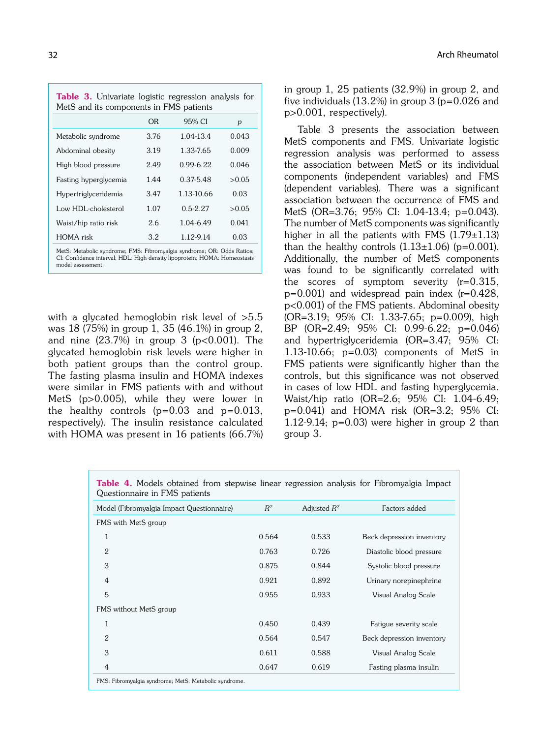| <b>Table 3.</b> Univariate logistic regression analysis for<br>MetS and its components in FMS patients |      |               |       |  |  |  |  |  |
|--------------------------------------------------------------------------------------------------------|------|---------------|-------|--|--|--|--|--|
|                                                                                                        | 0R   | 95% CI        | p     |  |  |  |  |  |
| Metabolic syndrome                                                                                     | 3.76 | 1.04-13.4     | 0.043 |  |  |  |  |  |
| Abdominal obesity                                                                                      | 3.19 | 1.33-7.65     | 0.009 |  |  |  |  |  |
| High blood pressure                                                                                    | 2.49 | $0.99 - 6.22$ | 0.046 |  |  |  |  |  |
| Fasting hyperglycemia                                                                                  | 1.44 | 0.37-5.48     | >0.05 |  |  |  |  |  |
| Hypertriglyceridemia                                                                                   | 3.47 | 1.13-10.66    | 0.03  |  |  |  |  |  |
| Low HDL-cholesterol                                                                                    | 1.07 | $0.5 - 2.27$  | >0.05 |  |  |  |  |  |
| Waist/hip ratio risk                                                                                   | 2.6  | 1.04-6.49     | 0.041 |  |  |  |  |  |
| HOMA risk                                                                                              | 3.2  | 1.12-9.14     | 0.03  |  |  |  |  |  |
| $\mathbf{M}$ is $\mathbf{M}$ if $\mathbf{M}$ is the set of $\mathbf{M}$                                |      |               |       |  |  |  |  |  |

MetS: Metabolic syndrome; FMS: Fibromyalgia syndrome; OR: Odds Ratios; CI: Confidence interval; HDL: High-density lipoprotein; HOMA: Homeostasis model assessment.

with a glycated hemoglobin risk level of  $>5.5$ was 18 (75%) in group 1, 35 (46.1%) in group 2, and nine  $(23.7%)$  in group 3 (p<0.001). The glycated hemoglobin risk levels were higher in both patient groups than the control group. The fasting plasma insulin and HOMA indexes were similar in FMS patients with and without MetS (p>0.005), while they were lower in the healthy controls  $(p=0.03$  and  $p=0.013$ , respectively). The insulin resistance calculated with HOMA was present in 16 patients (66.7%) in group 1, 25 patients (32.9%) in group 2, and five individuals  $(13.2\%)$  in group 3 (p=0.026 and p>0.001, respectively).

Table 3 presents the association between MetS components and FMS. Univariate logistic regression analysis was performed to assess the association between MetS or its individual components (independent variables) and FMS (dependent variables). There was a significant association between the occurrence of FMS and MetS (OR=3.76; 95% CI: 1.04-13.4; p=0.043). The number of MetS components was significantly higher in all the patients with FMS  $(1.79 \pm 1.13)$ than the healthy controls  $(1.13\pm1.06)$  (p=0.001). Additionally, the number of MetS components was found to be significantly correlated with the scores of symptom severity (r=0.315,  $p=0.001$ ) and widespread pain index ( $r=0.428$ , p<0.001) of the FMS patients. Abdominal obesity (OR=3.19; 95% CI: 1.33-7.65; p=0.009), high BP (OR=2.49; 95% CI: 0.99-6.22; p=0.046) and hypertriglyceridemia (OR=3.47; 95% CI: 1.13-10.66; p=0.03) components of MetS in FMS patients were significantly higher than the controls, but this significance was not observed in cases of low HDL and fasting hyperglycemia. Waist/hip ratio (OR=2.6; 95% CI: 1.04-6.49; p=0.041) and HOMA risk (OR=3.2; 95% CI: 1.12-9.14;  $p=0.03$ ) were higher in group 2 than group 3.

| Model (Fibromyalgia Impact Questionnaire) | $R^2$ | Adjusted $R^2$ | Factors added             |
|-------------------------------------------|-------|----------------|---------------------------|
| FMS with MetS group                       |       |                |                           |
| 1                                         | 0.564 | 0.533          | Beck depression inventory |
| 2                                         | 0.763 | 0.726          | Diastolic blood pressure  |
| 3                                         | 0.875 | 0.844          | Systolic blood pressure   |
| 4                                         | 0.921 | 0.892          | Urinary norepinephrine    |
| 5                                         | 0.955 | 0.933          | Visual Analog Scale       |
| FMS without MetS group                    |       |                |                           |
| 1                                         | 0.450 | 0.439          | Fatigue severity scale    |
| $\overline{2}$                            | 0.564 | 0.547          | Beck depression inventory |
| 3                                         | 0.611 | 0.588          | Visual Analog Scale       |
| $\overline{4}$                            | 0.647 | 0.619          | Fasting plasma insulin    |

Table 4. Models obtained from stepwise linear regression analysis for Fibromyalgia Impact Questionnaire in FMS patients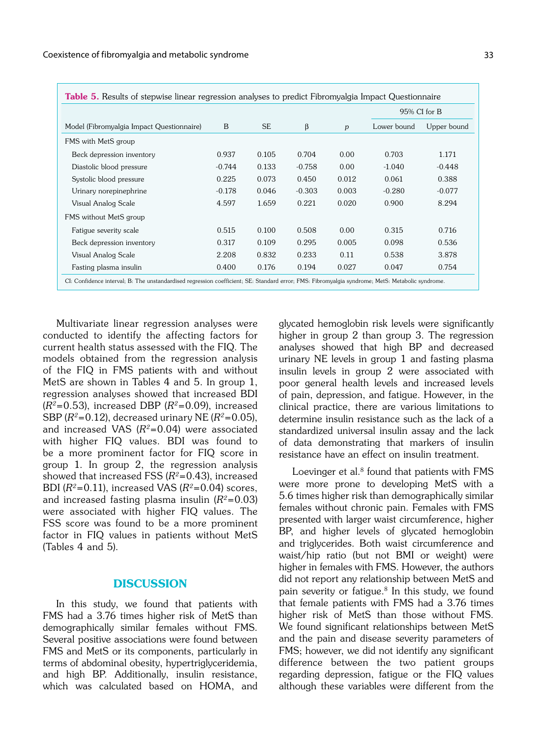|                                           |          |           |          |       | 95% CI for B |             |  |
|-------------------------------------------|----------|-----------|----------|-------|--------------|-------------|--|
| Model (Fibromyalgia Impact Questionnaire) | B        | <b>SE</b> | β        | p     | Lower bound  | Upper bound |  |
| FMS with MetS group                       |          |           |          |       |              |             |  |
| Beck depression inventory                 | 0.937    | 0.105     | 0.704    | 0.00  | 0.703        | 1.171       |  |
| Diastolic blood pressure                  | $-0.744$ | 0.133     | $-0.758$ | 0.00  | $-1.040$     | $-0.448$    |  |
| Systolic blood pressure                   | 0.225    | 0.073     | 0.450    | 0.012 | 0.061        | 0.388       |  |
| Urinary norepinephrine                    | $-0.178$ | 0.046     | $-0.303$ | 0.003 | $-0.280$     | $-0.077$    |  |
| Visual Analog Scale                       | 4.597    | 1.659     | 0.221    | 0.020 | 0.900        | 8.294       |  |
| FMS without MetS group                    |          |           |          |       |              |             |  |
| Fatigue severity scale                    | 0.515    | 0.100     | 0.508    | 0.00  | 0.315        | 0.716       |  |
| Beck depression inventory                 | 0.317    | 0.109     | 0.295    | 0.005 | 0.098        | 0.536       |  |
| Visual Analog Scale                       | 2.208    | 0.832     | 0.233    | 0.11  | 0.538        | 3.878       |  |
| Fasting plasma insulin                    | 0.400    | 0.176     | 0.194    | 0.027 | 0.047        | 0.754       |  |

Multivariate linear regression analyses were conducted to identify the affecting factors for current health status assessed with the FIQ. The models obtained from the regression analysis of the FIQ in FMS patients with and without MetS are shown in Tables 4 and 5. In group 1, regression analyses showed that increased BDI  $(R<sup>2</sup>=0.53)$ , increased DBP  $(R<sup>2</sup>=0.09)$ , increased SBP ( $R^2$ =0.12), decreased urinary NE ( $R^2$ =0.05), and increased VAS  $(R^2=0.04)$  were associated with higher FIQ values. BDI was found to be a more prominent factor for FIQ score in group 1. In group 2, the regression analysis showed that increased FSS  $(R^2=0.43)$ , increased BDI ( $R^2$ =0.11), increased VAS ( $R^2$ =0.04) scores, and increased fasting plasma insulin  $(R^2=0.03)$ were associated with higher FIQ values. The FSS score was found to be a more prominent factor in FIQ values in patients without MetS (Tables 4 and 5).

## **DISCUSSION**

In this study, we found that patients with FMS had a 3.76 times higher risk of MetS than demographically similar females without FMS. Several positive associations were found between FMS and MetS or its components, particularly in terms of abdominal obesity, hypertriglyceridemia, and high BP. Additionally, insulin resistance, which was calculated based on HOMA, and glycated hemoglobin risk levels were significantly higher in group 2 than group 3. The regression analyses showed that high BP and decreased urinary NE levels in group 1 and fasting plasma insulin levels in group 2 were associated with poor general health levels and increased levels of pain, depression, and fatigue. However, in the clinical practice, there are various limitations to determine insulin resistance such as the lack of a standardized universal insulin assay and the lack of data demonstrating that markers of insulin resistance have an effect on insulin treatment.

Loevinger et al. $8$  found that patients with FMS were more prone to developing MetS with a 5.6 times higher risk than demographically similar females without chronic pain. Females with FMS presented with larger waist circumference, higher BP, and higher levels of glycated hemoglobin and triglycerides. Both waist circumference and waist/hip ratio (but not BMI or weight) were higher in females with FMS. However, the authors did not report any relationship between MetS and pain severity or fatigue.<sup>8</sup> In this study, we found that female patients with FMS had a 3.76 times higher risk of MetS than those without FMS. We found significant relationships between MetS and the pain and disease severity parameters of FMS; however, we did not identify any significant difference between the two patient groups regarding depression, fatigue or the FIQ values although these variables were different from the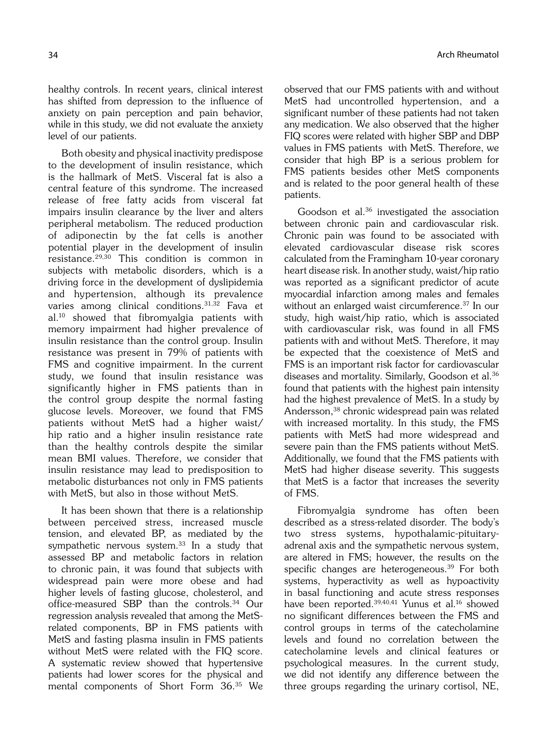healthy controls. In recent years, clinical interest has shifted from depression to the influence of anxiety on pain perception and pain behavior, while in this study, we did not evaluate the anxiety level of our patients.

Both obesity and physical inactivity predispose to the development of insulin resistance, which is the hallmark of MetS. Visceral fat is also a central feature of this syndrome. The increased release of free fatty acids from visceral fat impairs insulin clearance by the liver and alters peripheral metabolism. The reduced production of adiponectin by the fat cells is another potential player in the development of insulin resistance.29,30 This condition is common in subjects with metabolic disorders, which is a driving force in the development of dyslipidemia and hypertension, although its prevalence varies among clinical conditions.31,32 Fava et al.10 showed that fibromyalgia patients with memory impairment had higher prevalence of insulin resistance than the control group. Insulin resistance was present in 79% of patients with FMS and cognitive impairment. In the current study, we found that insulin resistance was significantly higher in FMS patients than in the control group despite the normal fasting glucose levels. Moreover, we found that FMS patients without MetS had a higher waist/ hip ratio and a higher insulin resistance rate than the healthy controls despite the similar mean BMI values. Therefore, we consider that insulin resistance may lead to predisposition to metabolic disturbances not only in FMS patients with MetS, but also in those without MetS.

It has been shown that there is a relationship between perceived stress, increased muscle tension, and elevated BP, as mediated by the sympathetic nervous system.33 In a study that assessed BP and metabolic factors in relation to chronic pain, it was found that subjects with widespread pain were more obese and had higher levels of fasting glucose, cholesterol, and office-measured SBP than the controls.34 Our regression analysis revealed that among the MetSrelated components, BP in FMS patients with MetS and fasting plasma insulin in FMS patients without MetS were related with the FIQ score. A systematic review showed that hypertensive patients had lower scores for the physical and mental components of Short Form 36.35 We observed that our FMS patients with and without MetS had uncontrolled hypertension, and a significant number of these patients had not taken any medication. We also observed that the higher FIQ scores were related with higher SBP and DBP values in FMS patients with MetS. Therefore, we consider that high BP is a serious problem for FMS patients besides other MetS components and is related to the poor general health of these patients.

Goodson et al.<sup>36</sup> investigated the association between chronic pain and cardiovascular risk. Chronic pain was found to be associated with elevated cardiovascular disease risk scores calculated from the Framingham 10-year coronary heart disease risk. In another study, waist/hip ratio was reported as a significant predictor of acute myocardial infarction among males and females without an enlarged waist circumference.<sup>37</sup> In our study, high waist/hip ratio, which is associated with cardiovascular risk, was found in all FMS patients with and without MetS. Therefore, it may be expected that the coexistence of MetS and FMS is an important risk factor for cardiovascular diseases and mortality. Similarly, Goodson et al.36 found that patients with the highest pain intensity had the highest prevalence of MetS. In a study by Andersson,38 chronic widespread pain was related with increased mortality. In this study, the FMS patients with MetS had more widespread and severe pain than the FMS patients without MetS. Additionally, we found that the FMS patients with MetS had higher disease severity. This suggests that MetS is a factor that increases the severity of FMS.

Fibromyalgia syndrome has often been described as a stress-related disorder. The body's two stress systems, hypothalamic-pituitaryadrenal axis and the sympathetic nervous system, are altered in FMS; however, the results on the specific changes are heterogeneous.<sup>39</sup> For both systems, hyperactivity as well as hypoactivity in basal functioning and acute stress responses have been reported.<sup>39,40,41</sup> Yunus et al.<sup>16</sup> showed no significant differences between the FMS and control groups in terms of the catecholamine levels and found no correlation between the catecholamine levels and clinical features or psychological measures. In the current study, we did not identify any difference between the three groups regarding the urinary cortisol, NE,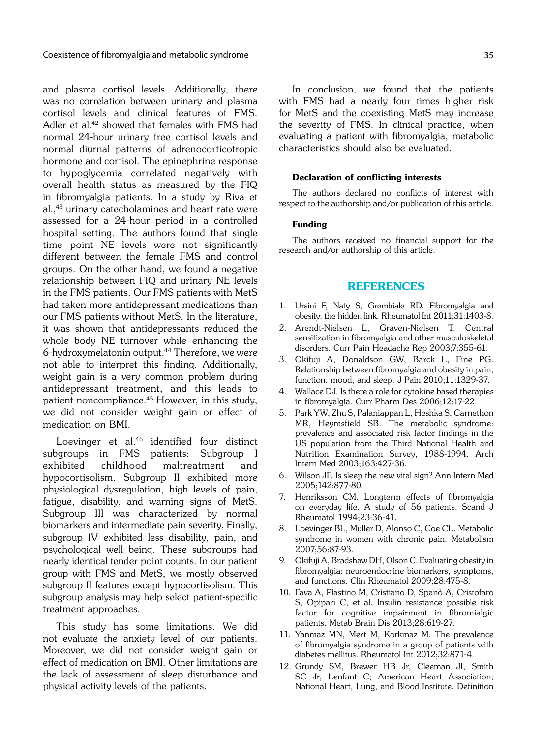and plasma cortisol levels. Additionally, there was no correlation between urinary and plasma cortisol levels and clinical features of FMS. Adler et al.<sup>42</sup> showed that females with FMS had normal 24-hour urinary free cortisol levels and normal diurnal patterns of adrenocorticotropic hormone and cortisol. The epinephrine response to hypoglycemia correlated negatively with overall health status as measured by the FIQ in fibromyalgia patients. In a study by Riva et al.,43 urinary catecholamines and heart rate were assessed for a 24-hour period in a controlled hospital setting. The authors found that single time point NE levels were not significantly different between the female FMS and control groups. On the other hand, we found a negative relationship between FIQ and urinary NE levels in the FMS patients. Our FMS patients with MetS had taken more antidepressant medications than our FMS patients without MetS. In the literature, it was shown that antidepressants reduced the whole body NE turnover while enhancing the 6-hydroxymelatonin output.44 Therefore, we were not able to interpret this finding. Additionally, weight gain is a very common problem during antidepressant treatment, and this leads to patient noncompliance.45 However, in this study, we did not consider weight gain or effect of medication on BMI.

Loevinger et al.46 identified four distinct subgroups in FMS patients: Subgroup I exhibited childhood maltreatment and hypocortisolism. Subgroup II exhibited more physiological dysregulation, high levels of pain, fatigue, disability, and warning signs of MetS. Subgroup III was characterized by normal biomarkers and intermediate pain severity. Finally, subgroup IV exhibited less disability, pain, and psychological well being. These subgroups had nearly identical tender point counts. In our patient group with FMS and MetS, we mostly observed subgroup II features except hypocortisolism. This subgroup analysis may help select patient-specific treatment approaches.

This study has some limitations. We did not evaluate the anxiety level of our patients. Moreover, we did not consider weight gain or effect of medication on BMI. Other limitations are the lack of assessment of sleep disturbance and physical activity levels of the patients.

In conclusion, we found that the patients with FMS had a nearly four times higher risk for MetS and the coexisting MetS may increase the severity of FMS. In clinical practice, when evaluating a patient with fibromyalgia, metabolic characteristics should also be evaluated.

### Declaration of conflicting interests

The authors declared no conflicts of interest with respect to the authorship and/or publication of this article.

#### Funding

The authors received no financial support for the research and/or authorship of this article.

### REFERENCES

- 1. Ursini F, Naty S, Grembiale RD. Fibromyalgia and obesity: the hidden link. Rheumatol Int 2011;31:1403-8.
- 2. Arendt-Nielsen L, Graven-Nielsen T. Central sensitization in fibromyalgia and other musculoskeletal disorders. Curr Pain Headache Rep 2003;7:355-61.
- 3. Okifuji A, Donaldson GW, Barck L, Fine PG. Relationship between fibromyalgia and obesity in pain, function, mood, and sleep. J Pain 2010;11:1329-37.
- 4. Wallace DJ. Is there a role for cytokine based therapies in fibromyalgia. Curr Pharm Des 2006;12:17-22.
- 5. Park YW, Zhu S, Palaniappan L, Heshka S, Carnethon MR, Heymsfield SB. The metabolic syndrome: prevalence and associated risk factor findings in the US population from the Third National Health and Nutrition Examination Survey, 1988-1994. Arch Intern Med 2003;163:427-36.
- 6. Wilson JF. Is sleep the new vital sign? Ann Intern Med 2005;142:877-80.
- 7. Henriksson CM. Longterm effects of fibromyalgia on everyday life. A study of 56 patients. Scand J Rheumatol 1994;23:36-41.
- 8. Loevinger BL, Muller D, Alonso C, Coe CL. Metabolic syndrome in women with chronic pain. Metabolism 2007;56:87-93.
- 9. Okifuji A, Bradshaw DH, Olson C. Evaluating obesity in fibromyalgia: neuroendocrine biomarkers, symptoms, and functions. Clin Rheumatol 2009;28:475-8.
- 10. Fava A, Plastino M, Cristiano D, Spanò A, Cristofaro S, Opipari C, et al. Insulin resistance possible risk factor for cognitive impairment in fibromialgic patients. Metab Brain Dis 2013;28:619-27.
- 11. Yanmaz MN, Mert M, Korkmaz M. The prevalence of fibromyalgia syndrome in a group of patients with diabetes mellitus. Rheumatol Int 2012;32:871-4.
- 12. Grundy SM, Brewer HB Jr, Cleeman JI, Smith SC Jr, Lenfant C; American Heart Association; National Heart, Lung, and Blood Institute. Definition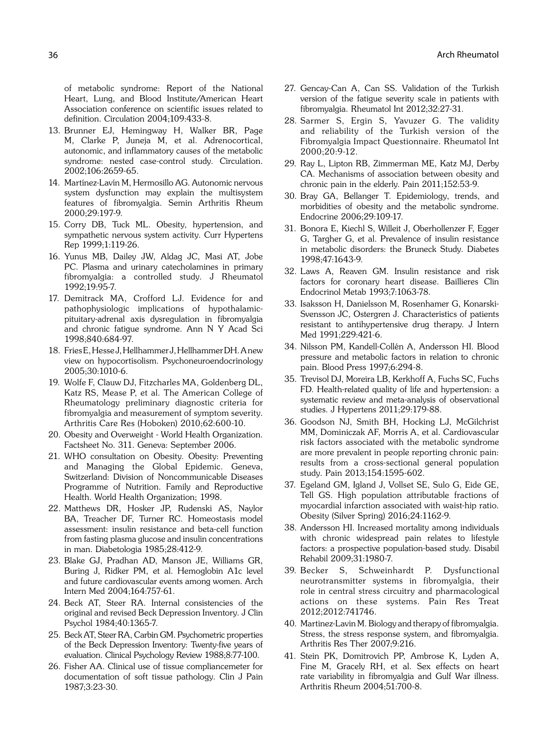of metabolic syndrome: Report of the National Heart, Lung, and Blood Institute/American Heart Association conference on scientific issues related to definition. Circulation 2004;109:433-8.

- 13. Brunner EJ, Hemingway H, Walker BR, Page M, Clarke P, Juneja M, et al. Adrenocortical, autonomic, and inflammatory causes of the metabolic syndrome: nested case-control study. Circulation. 2002;106:2659-65.
- 14. Martínez-Lavín M, Hermosillo AG. Autonomic nervous system dysfunction may explain the multisystem features of fibromyalgia. Semin Arthritis Rheum 2000;29:197-9.
- 15. Corry DB, Tuck ML. Obesity, hypertension, and sympathetic nervous system activity. Curr Hypertens Rep 1999;1:119-26.
- 16. Yunus MB, Dailey JW, Aldag JC, Masi AT, Jobe PC. Plasma and urinary catecholamines in primary fibromyalgia: a controlled study. J Rheumatol 1992;19:95-7.
- 17. Demitrack MA, Crofford LJ. Evidence for and pathophysiologic implications of hypothalamicpituitary-adrenal axis dysregulation in fibromyalgia and chronic fatigue syndrome. Ann N Y Acad Sci 1998;840:684-97.
- 18. Fries E, Hesse J, Hellhammer J, Hellhammer DH. A new view on hypocortisolism. Psychoneuroendocrinology 2005;30:1010-6.
- 19. Wolfe F, Clauw DJ, Fitzcharles MA, Goldenberg DL, Katz RS, Mease P, et al. The American College of Rheumatology preliminary diagnostic criteria for fibromyalgia and measurement of symptom severity. Arthritis Care Res (Hoboken) 2010;62:600-10.
- 20. Obesity and Overweight World Health Organization. Factsheet No. 311. Geneva: September 2006.
- 21. WHO consultation on Obesity. Obesity: Preventing and Managing the Global Epidemic. Geneva, Switzerland: Division of Noncommunicable Diseases Programme of Nutrition. Family and Reproductive Health. World Health Organization; 1998.
- 22. Matthews DR, Hosker JP, Rudenski AS, Naylor BA, Treacher DF, Turner RC. Homeostasis model assessment: insulin resistance and beta-cell function from fasting plasma glucose and insulin concentrations in man. Diabetologia 1985;28:412-9.
- 23. Blake GJ, Pradhan AD, Manson JE, Williams GR, Buring J, Ridker PM, et al. Hemoglobin A1c level and future cardiovascular events among women. Arch Intern Med 2004;164:757-61.
- 24. Beck AT, Steer RA. Internal consistencies of the original and revised Beck Depression Inventory. J Clin Psychol 1984;40:1365-7.
- 25. Beck AT, Steer RA, Carbin GM. Psychometric properties of the Beck Depression Inventory: Twenty-five years of evaluation. Clinical Psychology Review 1988;8:77-100.
- 26. Fisher AA. Clinical use of tissue compliancemeter for documentation of soft tissue pathology. Clin J Pain 1987;3:23-30.
- 27. Gencay-Can A, Can SS. Validation of the Turkish version of the fatigue severity scale in patients with fibromyalgia. Rheumatol Int 2012;32:27-31.
- 28. Sarmer S, Ergin S, Yavuzer G. The validity and reliability of the Turkish version of the Fibromyalgia Impact Questionnaire. Rheumatol Int 2000;20:9-12.
- 29. Ray L, Lipton RB, Zimmerman ME, Katz MJ, Derby CA. Mechanisms of association between obesity and chronic pain in the elderly. Pain 2011;152:53-9.
- 30. Bray GA, Bellanger T. Epidemiology, trends, and morbidities of obesity and the metabolic syndrome. Endocrine 2006;29:109-17.
- 31. Bonora E, Kiechl S, Willeit J, Oberhollenzer F, Egger G, Targher G, et al. Prevalence of insulin resistance in metabolic disorders: the Bruneck Study. Diabetes 1998;47:1643-9.
- 32. Laws A, Reaven GM. Insulin resistance and risk factors for coronary heart disease. Baillieres Clin Endocrinol Metab 1993;7:1063-78.
- 33. Isaksson H, Danielsson M, Rosenhamer G, Konarski-Svensson JC, Ostergren J. Characteristics of patients resistant to antihypertensive drug therapy. J Intern Med 1991;229:421-6.
- 34. Nilsson PM, Kandell-Collén A, Andersson HI. Blood pressure and metabolic factors in relation to chronic pain. Blood Press 1997;6:294-8.
- 35. Trevisol DJ, Moreira LB, Kerkhoff A, Fuchs SC, Fuchs FD. Health-related quality of life and hypertension: a systematic review and meta-analysis of observational studies. J Hypertens 2011;29:179-88.
- 36. Goodson NJ, Smith BH, Hocking LJ, McGilchrist MM, Dominiczak AF, Morris A, et al. Cardiovascular risk factors associated with the metabolic syndrome are more prevalent in people reporting chronic pain: results from a cross-sectional general population study. Pain 2013;154:1595-602.
- 37. Egeland GM, Igland J, Vollset SE, Sulo G, Eide GE, Tell GS. High population attributable fractions of myocardial infarction associated with waist-hip ratio. Obesity (Silver Spring) 2016;24:1162-9.
- 38. Andersson HI. Increased mortality among individuals with chronic widespread pain relates to lifestyle factors: a prospective population-based study. Disabil Rehabil 2009;31:1980-7.
- 39. Becker S, Schweinhardt P. Dysfunctional neurotransmitter systems in fibromyalgia, their role in central stress circuitry and pharmacological actions on these systems. Pain Res Treat 2012;2012:741746.
- 40. Martinez-Lavin M. Biology and therapy of fibromyalgia. Stress, the stress response system, and fibromyalgia. Arthritis Res Ther 2007;9:216.
- 41. Stein PK, Domitrovich PP, Ambrose K, Lyden A, Fine M, Gracely RH, et al. Sex effects on heart rate variability in fibromyalgia and Gulf War illness. Arthritis Rheum 2004;51:700-8.